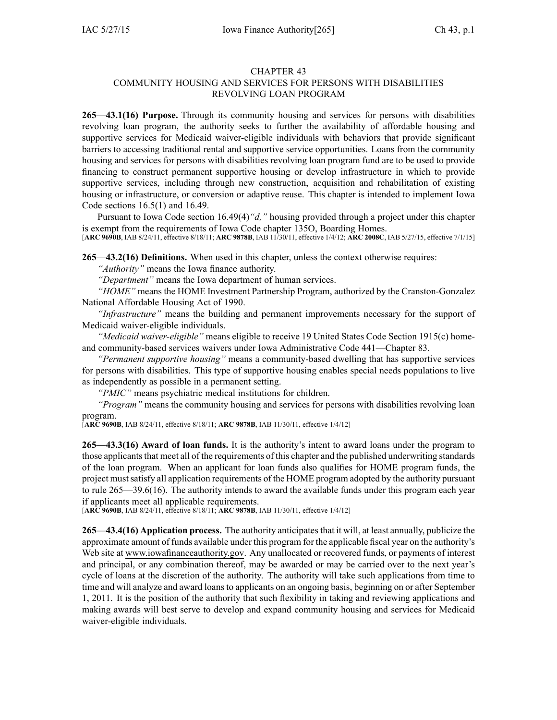## CHAPTER 43

## COMMUNITY HOUSING AND SERVICES FOR PERSONS WITH DISABILITIES REVOLVING LOAN PROGRAM

**265—43.1(16) Purpose.** Through its community housing and services for persons with disabilities revolving loan program, the authority seeks to further the availability of affordable housing and supportive services for Medicaid waiver-eligible individuals with behaviors that provide significant barriers to accessing traditional rental and supportive service opportunities. Loans from the community housing and services for persons with disabilities revolving loan program fund are to be used to provide financing to construct permanen<sup>t</sup> supportive housing or develop infrastructure in which to provide supportive services, including through new construction, acquisition and rehabilitation of existing housing or infrastructure, or conversion or adaptive reuse. This chapter is intended to implement Iowa Code sections [16.5\(1\)](https://www.legis.iowa.gov/docs/ico/section/16.5.pdf) and [16.49](https://www.legis.iowa.gov/docs/ico/section/16.49.pdf).

Pursuant to Iowa Code section [16.49\(4\)](https://www.legis.iowa.gov/docs/ico/section/16.49.pdf)*"d,"* housing provided through <sup>a</sup> project under this chapter is exemp<sup>t</sup> from the requirements of Iowa Code chapter [135O](https://www.legis.iowa.gov/docs/ico/chapter/135O.pdf), Boarding Homes. [**ARC 9690B**, IAB 8/24/11, effective 8/18/11; **ARC 9878B**, IAB 11/30/11, effective 1/4/12; **ARC 2008C**, IAB 5/27/15, effective 7/1/15]

**265—43.2(16) Definitions.** When used in this chapter, unless the context otherwise requires:

*"Authority"* means the Iowa finance authority.

*"Department"* means the Iowa department of human services.

*"HOME"* means the HOME Investment Partnership Program, authorized by the Cranston-Gonzalez National Affordable Housing Act of 1990.

*"Infrastructure"* means the building and permanen<sup>t</sup> improvements necessary for the suppor<sup>t</sup> of Medicaid waiver-eligible individuals.

*"Medicaid waiver-eligible"* means eligible to receive 19 United States Code Section 1915(c) homeand community-based services waivers under Iowa Administrative Code 441—Chapter 83.

*"Permanent supportive housing"* means <sup>a</sup> community-based dwelling that has supportive services for persons with disabilities. This type of supportive housing enables special needs populations to live as independently as possible in <sup>a</sup> permanen<sup>t</sup> setting.

*"PMIC"* means psychiatric medical institutions for children.

*"Program"* means the community housing and services for persons with disabilities revolving loan program.

[**ARC 9690B**, IAB 8/24/11, effective 8/18/11; **ARC 9878B**, IAB 11/30/11, effective 1/4/12]

**265—43.3(16) Award of loan funds.** It is the authority's intent to award loans under the program to those applicants that meet all of the requirements of this chapter and the published underwriting standards of the loan program. When an applicant for loan funds also qualifies for HOME program funds, the project mustsatisfy all application requirements of the HOME program adopted by the authority pursuan<sup>t</sup> to rule 265—39.6(16). The authority intends to award the available funds under this program each year if applicants meet all applicable requirements.

[**ARC 9690B**, IAB 8/24/11, effective 8/18/11; **ARC 9878B**, IAB 11/30/11, effective 1/4/12]

**265—43.4(16) Application process.** The authority anticipatesthat it will, at least annually, publicize the approximate amount of funds available under this program for the applicable fiscal year on the authority's Web site at www.iowafinanceauthority.gov. Any unallocated or recovered funds, or payments of interest and principal, or any combination thereof, may be awarded or may be carried over to the next year's cycle of loans at the discretion of the authority. The authority will take such applications from time to time and will analyze and award loansto applicants on an ongoing basis, beginning on or after September 1, 2011. It is the position of the authority that such flexibility in taking and reviewing applications and making awards will best serve to develop and expand community housing and services for Medicaid waiver-eligible individuals.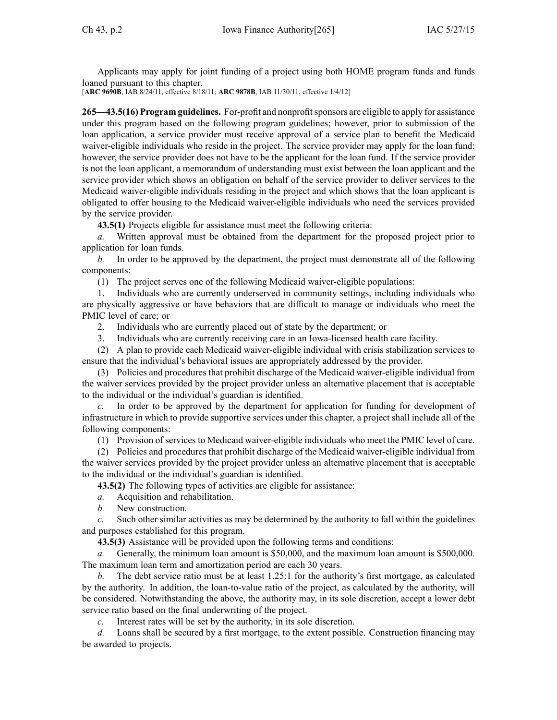Applicants may apply for joint funding of <sup>a</sup> project using both HOME program funds and funds loaned pursuan<sup>t</sup> to this chapter.

[**ARC 9690B**, IAB 8/24/11, effective 8/18/11; **ARC 9878B**, IAB 11/30/11, effective 1/4/12]

**265—43.5(16) Program guidelines.** For-profit and nonprofitsponsors are eligible to apply for assistance under this program based on the following program guidelines; however, prior to submission of the loan application, <sup>a</sup> service provider must receive approval of <sup>a</sup> service plan to benefit the Medicaid waiver-eligible individuals who reside in the project. The service provider may apply for the loan fund; however, the service provider does not have to be the applicant for the loan fund. If the service provider is not the loan applicant, <sup>a</sup> memorandum of understanding must exist between the loan applicant and the service provider which shows an obligation on behalf of the service provider to deliver services to the Medicaid waiver-eligible individuals residing in the project and which shows that the loan applicant is obligated to offer housing to the Medicaid waiver-eligible individuals who need the services provided by the service provider.

**43.5(1)** Projects eligible for assistance must meet the following criteria:

*a.* Written approval must be obtained from the department for the proposed project prior to application for loan funds.

*b.* In order to be approved by the department, the project must demonstrate all of the following components:

(1) The project serves one of the following Medicaid waiver-eligible populations:

1. Individuals who are currently underserved in community settings, including individuals who are physically aggressive or have behaviors that are difficult to manage or individuals who meet the PMIC level of care; or

2. Individuals who are currently placed out of state by the department; or

3. Individuals who are currently receiving care in an Iowa-licensed health care facility.

(2) A plan to provide each Medicaid waiver-eligible individual with crisis stabilization services to ensure that the individual's behavioral issues are appropriately addressed by the provider.

(3) Policies and procedures that prohibit discharge of the Medicaid waiver-eligible individual from the waiver services provided by the project provider unless an alternative placement that is acceptable to the individual or the individual's guardian is identified.

*c.* In order to be approved by the department for application for funding for development of infrastructure in which to provide supportive services under this chapter, <sup>a</sup> project shall include all of the following components:

(1) Provision of services to Medicaid waiver-eligible individuals who meet the PMIC level of care.

(2) Policies and procedures that prohibit discharge of the Medicaid waiver-eligible individual from the waiver services provided by the project provider unless an alternative placement that is acceptable to the individual or the individual's guardian is identified.

**43.5(2)** The following types of activities are eligible for assistance:

- *a.* Acquisition and rehabilitation.
- *b.* New construction.

*c.* Such other similar activities as may be determined by the authority to fall within the guidelines and purposes established for this program.

**43.5(3)** Assistance will be provided upon the following terms and conditions:

*a.* Generally, the minimum loan amount is \$50,000, and the maximum loan amount is \$500,000. The maximum loan term and amortization period are each 30 years.

*b.* The debt service ratio must be at least 1.25:1 for the authority's first mortgage, as calculated by the authority. In addition, the loan-to-value ratio of the project, as calculated by the authority, will be considered. Notwithstanding the above, the authority may, in its sole discretion, accep<sup>t</sup> <sup>a</sup> lower debt service ratio based on the final underwriting of the project.

*c.* Interest rates will be set by the authority, in its sole discretion.

*d.* Loans shall be secured by <sup>a</sup> first mortgage, to the extent possible. Construction financing may be awarded to projects.